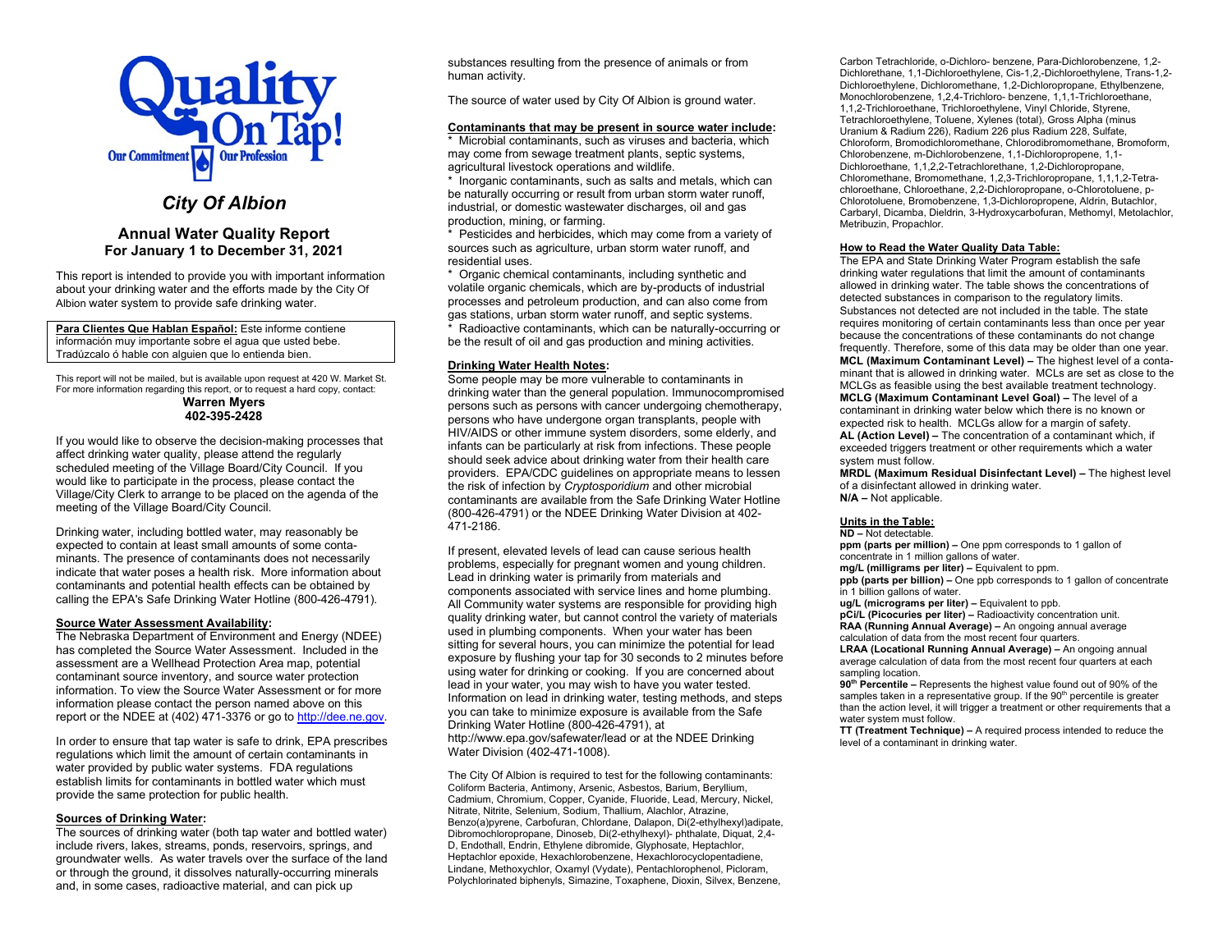

# *City Of Albion*

### **Annual Water Quality Report For January 1 to December 31, 2021**

This report is intended to provide you with important information about your drinking water and the efforts made by the City Of Albion water system to provide safe drinking water.

**Para Clientes Que Hablan Español:** Este informe contiene información muy importante sobre el agua que usted bebe. Tradúzcalo ó hable con alguien que lo entienda bien.

This report will not be mailed, but is available upon request at 420 W. Market St. For more information regarding this report, or to request a hard copy, contact: **Warren Myers 402-395-2428**

If you would like to observe the decision-making processes that affect drinking water quality, please attend the regularly scheduled meeting of the Village Board/City Council. If you would like to participate in the process, please contact the Village/City Clerk to arrange to be placed on the agenda of the meeting of the Village Board/City Council.

Drinking water, including bottled water, may reasonably be expected to contain at least small amounts of some contaminants. The presence of contaminants does not necessarily indicate that water poses a health risk. More information about contaminants and potential health effects can be obtained by calling the EPA's Safe Drinking Water Hotline (800-426-4791).

#### **Source Water Assessment Availability:**

The Nebraska Department of Environment and Energy (NDEE) has completed the Source Water Assessment. Included in the assessment are a Wellhead Protection Area map, potential contaminant source inventory, and source water protection information. To view the Source Water Assessment or for more information please contact the person named above on this report or the NDEE at (402) 471-3376 or go t[o http://dee.ne.gov.](http://dee.ne.gov/)

In order to ensure that tap water is safe to drink, EPA prescribes regulations which limit the amount of certain contaminants in water provided by public water systems. FDA regulations establish limits for contaminants in bottled water which must provide the same protection for public health.

#### **Sources of Drinking Water:**

The sources of drinking water (both tap water and bottled water) include rivers, lakes, streams, ponds, reservoirs, springs, and groundwater wells. As water travels over the surface of the land or through the ground, it dissolves naturally-occurring minerals and, in some cases, radioactive material, and can pick up

substances resulting from the presence of animals or from human activity.

The source of water used by City Of Albion is ground water.

#### **Contaminants that may be present in source water include:**

\* Microbial contaminants, such as viruses and bacteria, which may come from sewage treatment plants, septic systems, agricultural livestock operations and wildlife.

\* Inorganic contaminants, such as salts and metals, which can be naturally occurring or result from urban storm water runoff, industrial, or domestic wastewater discharges, oil and gas production, mining, or farming.

\* Pesticides and herbicides, which may come from a variety of sources such as agriculture, urban storm water runoff, and residential uses.

\* Organic chemical contaminants, including synthetic and volatile organic chemicals, which are by-products of industrial processes and petroleum production, and can also come from gas stations, urban storm water runoff, and septic systems. Radioactive contaminants, which can be naturally-occurring or

be the result of oil and gas production and mining activities.

#### **Drinking Water Health Notes:**

Some people may be more vulnerable to contaminants in drinking water than the general population. Immunocompromised persons such as persons with cancer undergoing chemotherapy, persons who have undergone organ transplants, people with HIV/AIDS or other immune system disorders, some elderly, and infants can be particularly at risk from infections. These people should seek advice about drinking water from their health care providers. EPA/CDC guidelines on appropriate means to lessen the risk of infection by *Cryptosporidium* and other microbial contaminants are available from the Safe Drinking Water Hotline (800-426-4791) or the NDEE Drinking Water Division at 402- 471-2186.

If present, elevated levels of lead can cause serious health problems, especially for pregnant women and young children. Lead in drinking water is primarily from materials and components associated with service lines and home plumbing. All Community water systems are responsible for providing high quality drinking water, but cannot control the variety of materials used in plumbing components. When your water has been sitting for several hours, you can minimize the potential for lead exposure by flushing your tap for 30 seconds to 2 minutes before using water for drinking or cooking. If you are concerned about lead in your water, you may wish to have you water tested. Information on lead in drinking water, testing methods, and steps you can take to minimize exposure is available from the Safe Drinking Water Hotline (800-426-4791), at http://www.epa.gov/safewater/lead or at the NDEE Drinking Water Division (402-471-1008).

The City Of Albion is required to test for the following contaminants: Coliform Bacteria, Antimony, Arsenic, Asbestos, Barium, Beryllium, Cadmium, Chromium, Copper, Cyanide, Fluoride, Lead, Mercury, Nickel, Nitrate, Nitrite, Selenium, Sodium, Thallium, Alachlor, Atrazine, Benzo(a)pyrene, Carbofuran, Chlordane, Dalapon, Di(2-ethylhexyl)adipate, Dibromochloropropane, Dinoseb, Di(2-ethylhexyl)- phthalate, Diquat, 2,4- D, Endothall, Endrin, Ethylene dibromide, Glyphosate, Heptachlor, Heptachlor epoxide, Hexachlorobenzene, Hexachlorocyclopentadiene, Lindane, Methoxychlor, Oxamyl (Vydate), Pentachlorophenol, Picloram, Polychlorinated biphenyls, Simazine, Toxaphene, Dioxin, Silvex, Benzene, Carbon Tetrachloride, o-Dichloro- benzene, Para-Dichlorobenzene, 1,2- Dichlorethane, 1,1-Dichloroethylene, Cis-1,2,-Dichloroethylene, Trans-1,2- Dichloroethylene, Dichloromethane, 1,2-Dichloropropane, Ethylbenzene, Monochlorobenzene, 1,2,4-Trichloro- benzene, 1,1,1-Trichloroethane, 1,1,2-Trichloroethane, Trichloroethylene, Vinyl Chloride, Styrene, Tetrachloroethylene, Toluene, Xylenes (total), Gross Alpha (minus Uranium & Radium 226), Radium 226 plus Radium 228, Sulfate, Chloroform, Bromodichloromethane, Chlorodibromomethane, Bromoform, Chlorobenzene, m-Dichlorobenzene, 1,1-Dichloropropene, 1,1- Dichloroethane, 1,1,2,2-Tetrachlorethane, 1,2-Dichloropropane, Chloromethane, Bromomethane, 1,2,3-Trichloropropane, 1,1,1,2-Tetrachloroethane, Chloroethane, 2,2-Dichloropropane, o-Chlorotoluene, p-Chlorotoluene, Bromobenzene, 1,3-Dichloropropene, Aldrin, Butachlor, Carbaryl, Dicamba, Dieldrin, 3-Hydroxycarbofuran, Methomyl, Metolachlor, Metribuzin, Propachlor.

#### **How to Read the Water Quality Data Table:**

The EPA and State Drinking Water Program establish the safe drinking water regulations that limit the amount of contaminants allowed in drinking water. The table shows the concentrations of detected substances in comparison to the regulatory limits. Substances not detected are not included in the table. The state requires monitoring of certain contaminants less than once per year because the concentrations of these contaminants do not change frequently. Therefore, some of this data may be older than one year. **MCL (Maximum Contaminant Level) –** The highest level of a contaminant that is allowed in drinking water. MCLs are set as close to the MCLGs as feasible using the best available treatment technology. **MCLG (Maximum Contaminant Level Goal) –** The level of a contaminant in drinking water below which there is no known or expected risk to health. MCLGs allow for a margin of safety. **AL (Action Level) –** The concentration of a contaminant which, if exceeded triggers treatment or other requirements which a water system must follow.

**MRDL (Maximum Residual Disinfectant Level) –** The highest level of a disinfectant allowed in drinking water. **N/A –** Not applicable.

#### **Units in the Table:**

**ND –** Not detectable.

**ppm (parts per million) –** One ppm corresponds to 1 gallon of concentrate in 1 million gallons of water.

**mg/L (milligrams per liter) –** Equivalent to ppm.

**ppb (parts per billion) –** One ppb corresponds to 1 gallon of concentrate in 1 billion gallons of water.

**ug/L (micrograms per liter) –** Equivalent to ppb.

**pCi/L (Picocuries per liter) –** Radioactivity concentration unit. **RAA (Running Annual Average) –** An ongoing annual average calculation of data from the most recent four quarters.

**LRAA (Locational Running Annual Average) –** An ongoing annual average calculation of data from the most recent four quarters at each sampling location.

**90th Percentile –** Represents the highest value found out of 90% of the samples taken in a representative group. If the 90<sup>th</sup> percentile is greater than the action level, it will trigger a treatment or other requirements that a water system must follow.

**TT (Treatment Technique) –** A required process intended to reduce the level of a contaminant in drinking water.